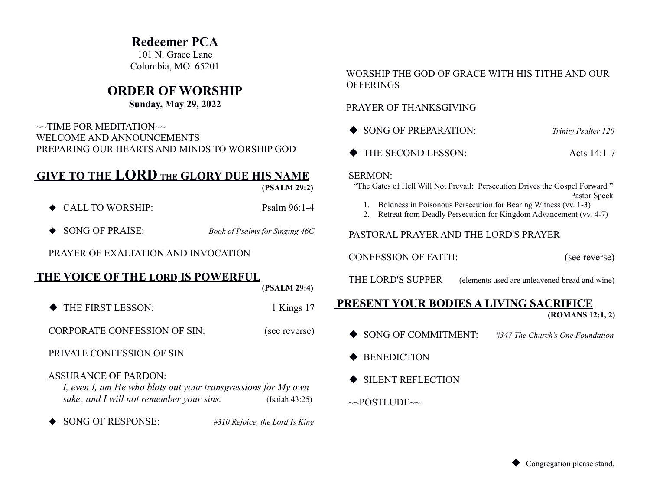## **Redeemer PCA**

101 N. Grace Lane Columbia, MO 65201

## **ORDER OF WORSHIP**

### **Sunday, May 29, 2022**

 $\sim$ TIME FOR MEDITATION $\sim$  WELCOME AND ANNOUNCEMENTS PREPARING OUR HEARTS AND MINDS TO WORSHIP GOD

# **GIVE TO THE LORD THE GLORY DUE HIS NAME**

 **(PSALM 29:2)**

- ◆ CALL TO WORSHIP: Psalm 96:1-4
- ◆ SONG OF PRAISE: *Book of Psalms for Singing 46C*

PRAYER OF EXALTATION AND INVOCATION

## **THE VOICE OF THE LORD IS POWERFUL**

 **(PSALM 29:4)**

THE FIRST LESSON: 1 Kings 17

CORPORATE CONFESSION OF SIN: (see reverse)

PRIVATE CONFESSION OF SIN

#### ASSURANCE OF PARDON:

*I, even I, am He who blots out your transgressions for My own sake; and I will not remember your sins.* (Isaiah 43:25)

SONG OF RESPONSE: *#310 Rejoice, the Lord Is King*

#### WORSHIP THE GOD OF GRACE WITH HIS TITHE AND OUR **OFFERINGS**

#### PRAYER OF THANKSGIVING

| SONG OF PREPARATION: | <b>Trinity Psalter 120</b> |
|----------------------|----------------------------|
| THE SECOND LESSON:   | Acts $14:1-7$              |

#### SERMON:

 "The Gates of Hell Will Not Prevail: Persecution Drives the Gospel Forward " Pastor Speck

- 1. Boldness in Poisonous Persecution for Bearing Witness (vv. 1-3)
- 2. Retreat from Deadly Persecution for Kingdom Advancement (vv. 4-7)

### PASTORAL PRAYER AND THE LORD'S PRAYER

CONFESSION OF FAITH: (see reverse)

THE LORD'S SUPPER (elements used are unleavened bread and wine)

#### **PRESENT YOUR BODIES A LIVING SACRIFICE (ROMANS 12:1, 2)**

- SONG OF COMMITMENT: *#347 The Church's One Foundation*
- $\triangle$  BENEDICTION
- SILENT REFLECTION
- $\sim$ POSTLUDE $\sim$